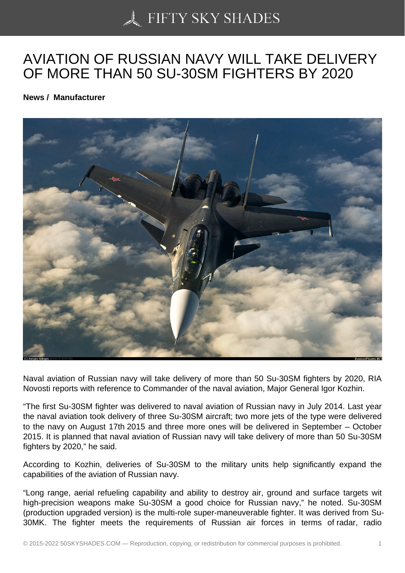## [AVIATION OF RUSSIA](https://50skyshades.com)N NAVY WILL TAKE DELIVERY OF MORE THAN 50 SU-30SM FIGHTERS BY 2020

News / Manufacturer

Naval aviation of Russian navy will take delivery of more than 50 Su-30SM fighters by 2020, RIA Novosti reports with reference to Commander of the naval aviation, Major General Igor Kozhin.

"The first Su-30SM fighter was delivered to naval aviation of Russian navy in July 2014. Last year the naval aviation took delivery of three Su-30SM aircraft; two more jets of the type were delivered to the navy on August 17th 2015 and three more ones will be delivered in September – October 2015. It is planned that naval aviation of Russian navy will take delivery of more than 50 Su-30SM fighters by 2020," he said.

According to Kozhin, deliveries of Su-30SM to the military units help significantly expand the capabilities of the aviation of Russian navy.

"Long range, aerial refueling capability and ability to destroy air, ground and surface targets wit high-precision weapons make Su-30SM a good choice for Russian navy," he noted. Su-30SM (production upgraded version) is the multi-role super-maneuverable fighter. It was derived from Su-30MK. The fighter meets the requirements of Russian air forces in terms of radar, radio